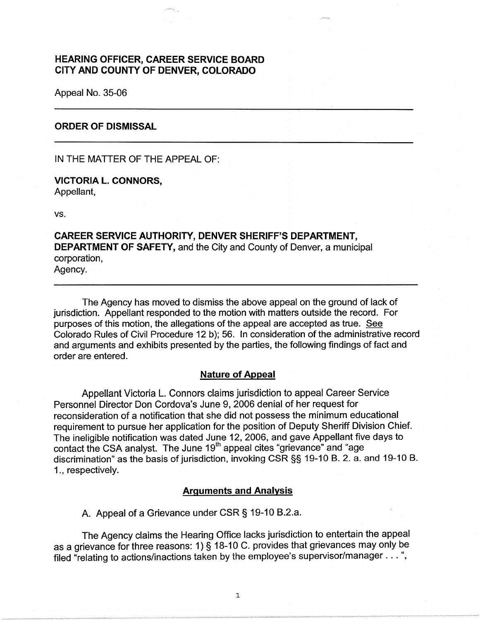# **HEARING OFFICER, CAREER SERVICE BOARD CITY AND COUNTY OF DENVER, COLORADO**

Appeal No. 35-06

## **ORDER OF DISMISSAL**

IN THE MATTER OF THE APPEAL OF:

**VICTORIA L. CONNORS,**  Appellant,

vs.

**CAREER SERVICE AUTHORITY, DENVER SHERIFF'S DEPARTMENT, DEPARTMENT OF SAFETY,** and the City and County of Denver, a municipal corporation, Agency.

The Agency has moved to dismiss the above appeal on the ground of lack of jurisdiction. Appellant responded to the motion with matters outside the record. For purposes of this motion, the allegations of the appeal are accepted as true. See Colorado Rules of Civil Procedure 12 b); 56. In consideration of the administrative record and arguments and exhibits presented by the parties, the following findings of fact and order are entered.

### **Nature of Appeal**

Appellant Victoria L. Connors claims jurisdiction to appeal Career Service Personnel Director Don Cordova's June 9, 2006 denial of her request for reconsideration of a notification that she did not possess the minimum educational requirement to pursue her application for the position of Deputy Sheriff Division Chief. The ineligible notification was dated June 12, 2006, and gave Appellant five days to contact the CSA analyst. The June 19<sup>th</sup> appeal cites "grievance" and "age discrimination" as the basis of jurisdiction, invoking CSR§§ 19-10 B. 2. a. and 19-10 B. 1., respectively.

### **Arguments and Analysis**

A. Appeal of a Grievance under CSR § 19-10 B.2.a.

The Agency claims the Hearing Office lacks jurisdiction to entertain the appeal as a grievance for three reasons: 1)  $\tilde{\S}$  18-10 C. provides that grievances may only be filed "relating to actions/inactions taken by the employee's supervisor/manager ... ",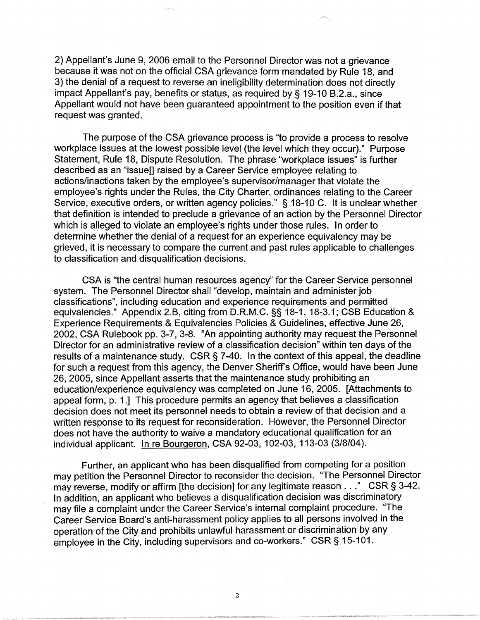2) Appellant's June 9, 2006 email to the Personnel Director was not a grievance because it was not on the official CSA grievance form mandated by Rule 18, and 3) the denial of a request to reverse an ineligibility determination does not directly impact Appellant's pay, benefits or status, as required by§ 19-10 B.2.a., since Appellant would not have been guaranteed appointment to the position even if that request was granted.

The purpose of the CSA grievance process is "to provide a process to resolve workplace issues at the lowest possible level (the level which they occur)." Purpose Statement, Rule 18, Dispute Resolution. The phrase "workplace issues" is further described as an "issue[] raised by a Career Service employee relating to actions/inactions taken by the employee's supervisor/manager that violate the employee's rights under the Rules, the City Charter, ordinances relating to the Career Service, executive orders, or written agency policies." § 18-10 C. It is unclear whether that definition is intended to preclude a grievance of an action by the Personnel Director which is alleged to violate an employee's rights under those rules. In order to determine whether the denial of a request for an experience equivalency may be grieved, it is necessary to compare the current and past rules applicable to challenges to classification and disqualification decisions.

CSA is "the central human resources agency" for the Career Service personnel system. The Personnel Director shall "develop, maintain and administer job classifications", including education and experience requirements and permitted equivalencies." Appendix 2.B, citing from D.R.M.C. §§ 18-1, 18-3.1; CSB Education & Experience Requirements & Equivalencies Policies & Guidelines, effective June 26, 2002, CSA Rulebook pp. 3-7, 3-8. "An appointing authority may request the Personnel Director for an administrative review of a classification decision" within ten days of the results of a maintenance study. CSR§ 7-40. In the context of this appeal, the deadline for such a request from this agency, the Denver Sheriffs Office, would have been June 26, 2005, since Appellant asserts that the maintenance study prohibiting an education/experience equivalency was completed on June 16, 2005. [Attachments to appeal form, p. 1.] This procedure permits an agency that believes a classification decision does not meet its personnel needs to obtain a review of that decision and a written response to its request for reconsideration. However, the Personnel Director does not have the authority to waive a mandatory educational qualification for an individual applicant. In re Bourgeron, CSA 92-03, 102-03, 113-03 (3/8/04 ).

Further, an applicant who has been disqualified from competing for a position may petition the Personnel Director to reconsider the decision. "The Personnel Director may reverse, modify or affirm [the decision] for any legitimate reason . . ." CSR § 3-42. In addition, an applicant who believes a disqualification decision was discriminatory may file a complaint under the Career Service's internal complaint procedure. "The Career Service Board's anti-harassment policy applies to all persons involved in the operation of the City and prohibits unlawful harassment or discrimination by any employee in the City, including supervisors and co-workers." CSR§ 15-101.

2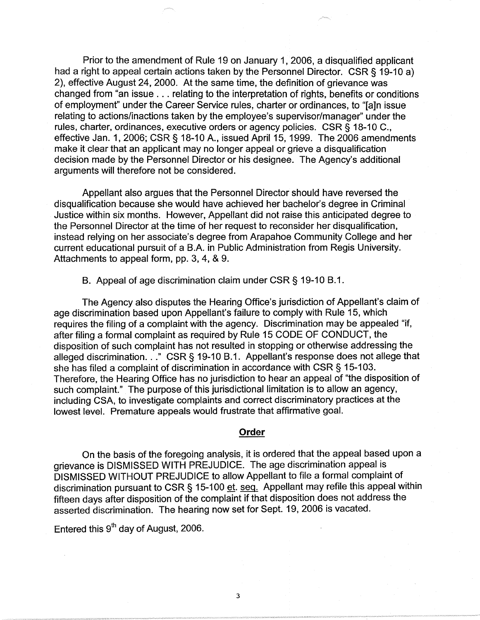Prior to the amendment of Rule 19 on January 1, 2006, a disqualified applicant had a right to appeal certain actions taken by the Personnel Director. CSR § 19-10 a) 2), effective August 24, 2000. At the same time, the definition of grievance was changed from "an issue ... relating to the interpretation of rights, benefits or conditions of employment" under the Career Service rules, charter or ordinances, to "[a]n issue relating to actions/inactions taken by the employee's supervisor/manager" under the rules, charter, ordinances, executive orders or agency policies. CSR§ 18-10 C., effective Jan. 1, 2006; CSR§ 18-10 A., issued April 15, 1999. The 2006 amendments make it clear that an applicant may no longer appeal or grieve a disqualification decision made by the Personnel Director or his designee. The Agency's additional arguments will therefore not be considered.

Appellant also argues that the Personnel Director should have reversed the disqualification because she would have achieved her bachelor's degree in Criminal Justice within six months. However, Appellant did not raise this anticipated degree to the Personnel Director at the time of her request to reconsider her disqualification, instead relying on her associate's degree from Arapahoe Community College and her current educational pursuit of a B.A. in Public Administration from Regis University. Attachments to appeal form, pp. 3, 4, & 9.

B. Appeal of age discrimination claim under CSR§ 19-10 B.1.

The Agency also disputes the Hearing Office's jurisdiction of Appellant's claim of age discrimination based upon Appellant's failure to comply with Rule 15, which requires the filing of a complaint with the agency. Discrimination may be appealed "if, after filing a formal complaint as required by Rule 15 CODE OF CONDUCT, the disposition of such complaint has not resulted in stopping or otherwise addressing the alleged discrimination ... " CSR § 19-10 B.1. Appellant's response does not allege that she has filed a complaint of discrimination in accordance with CSR§ 15-103. Therefore, the Hearing Office has no jurisdiction to hear an appeal of "the disposition of such complaint." The purpose of this jurisdictional limitation is to allow an agency, including CSA, to investigate complaints and correct discriminatory practices at the lowest level. Premature appeals would frustrate that affirmative goal.

#### **Order**

On the basis of the foregoing analysis, it is ordered that the appeal based upon a grievance is DISMISSED WITH PREJUDICE. The age discrimination appeal is DISMISSED WITHOUT PREJUDICE to allow Appellant to file a formal complaint of discrimination pursuant to CSR § 15-100 et. seq. Appellant may refile this appeal within fifteen days after disposition of the complaint if that disposition does not address the asserted discrimination. The hearing now set for Sept. 19, 2006 is vacated.

Entered this  $9<sup>th</sup>$  day of August, 2006.